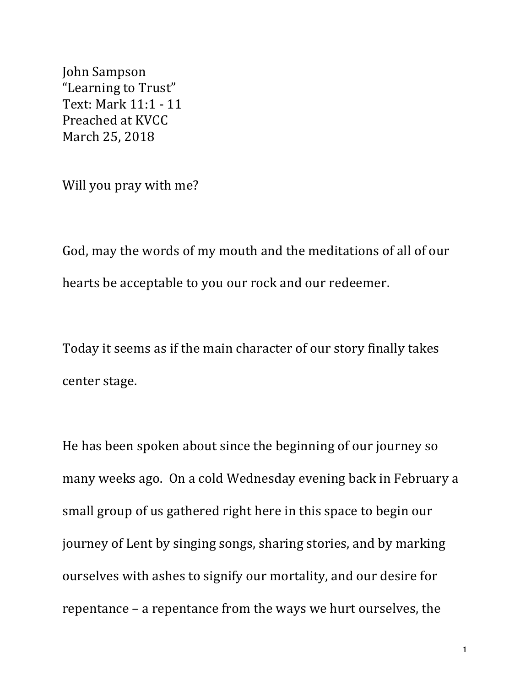John Sampson "Learning to Trust" Text: Mark 11:1 - 11 Preached at KVCC March 25, 2018

Will you pray with me?

God, may the words of my mouth and the meditations of all of our hearts be acceptable to you our rock and our redeemer.

Today it seems as if the main character of our story finally takes center stage.

He has been spoken about since the beginning of our journey so many weeks ago. On a cold Wednesday evening back in February a small group of us gathered right here in this space to begin our journey of Lent by singing songs, sharing stories, and by marking ourselves with ashes to signify our mortality, and our desire for repentance – a repentance from the ways we hurt ourselves, the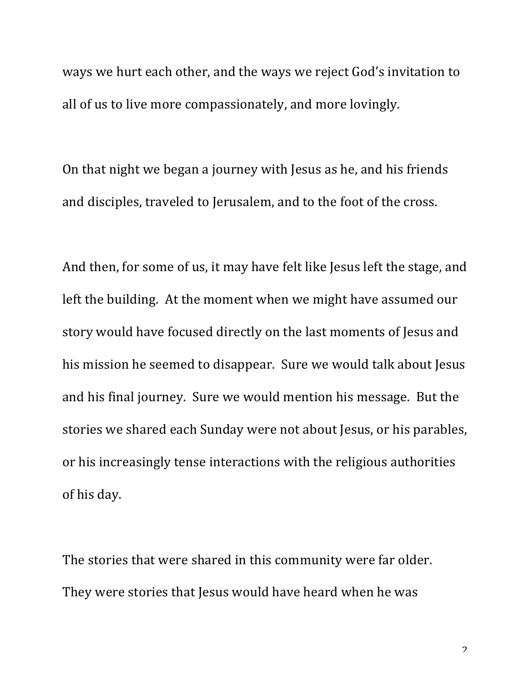ways we hurt each other, and the ways we reject God's invitation to all of us to live more compassionately, and more lovingly.

On that night we began a journey with Jesus as he, and his friends and disciples, traveled to Jerusalem, and to the foot of the cross.

And then, for some of us, it may have felt like Jesus left the stage, and left the building. At the moment when we might have assumed our story would have focused directly on the last moments of Jesus and his mission he seemed to disappear. Sure we would talk about Jesus and his final journey. Sure we would mention his message. But the stories we shared each Sunday were not about Jesus, or his parables, or his increasingly tense interactions with the religious authorities of his day.

The stories that were shared in this community were far older. They were stories that Jesus would have heard when he was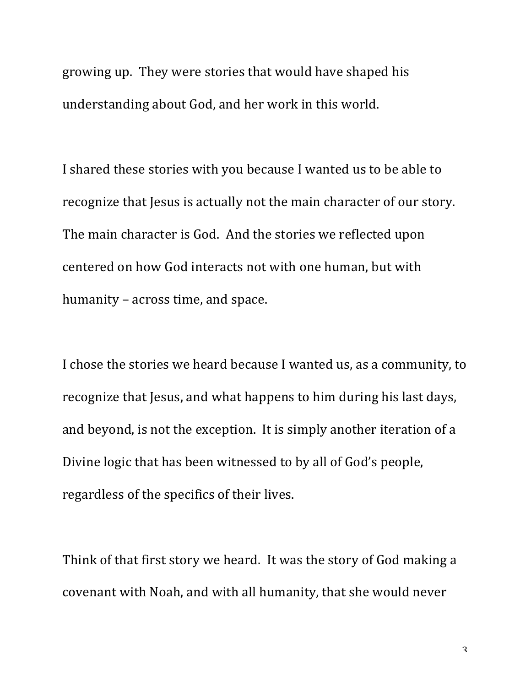growing up. They were stories that would have shaped his understanding about God, and her work in this world.

I shared these stories with you because I wanted us to be able to recognize that Jesus is actually not the main character of our story. The main character is God. And the stories we reflected upon centered on how God interacts not with one human, but with humanity – across time, and space.

I chose the stories we heard because I wanted us, as a community, to recognize that Jesus, and what happens to him during his last days, and beyond, is not the exception. It is simply another iteration of a Divine logic that has been witnessed to by all of God's people, regardless of the specifics of their lives.

Think of that first story we heard. It was the story of God making a covenant with Noah, and with all humanity, that she would never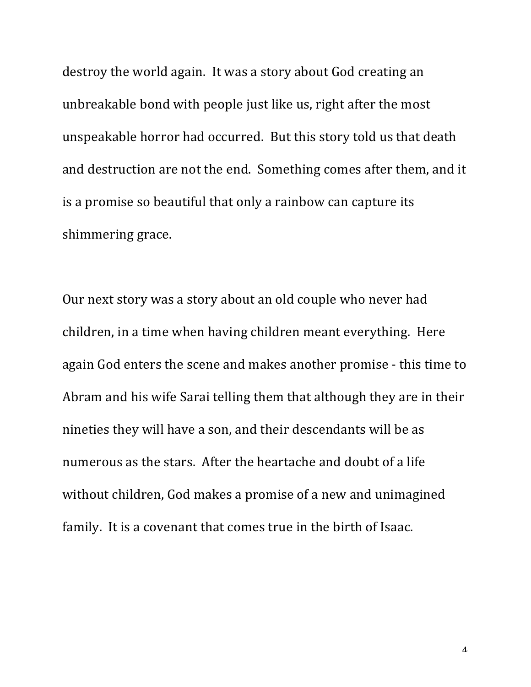destroy the world again. It was a story about God creating an unbreakable bond with people just like us, right after the most unspeakable horror had occurred. But this story told us that death and destruction are not the end. Something comes after them, and it is a promise so beautiful that only a rainbow can capture its shimmering grace.

Our next story was a story about an old couple who never had children, in a time when having children meant everything. Here again God enters the scene and makes another promise - this time to Abram and his wife Sarai telling them that although they are in their nineties they will have a son, and their descendants will be as numerous as the stars. After the heartache and doubt of a life without children, God makes a promise of a new and unimagined family. It is a covenant that comes true in the birth of Isaac.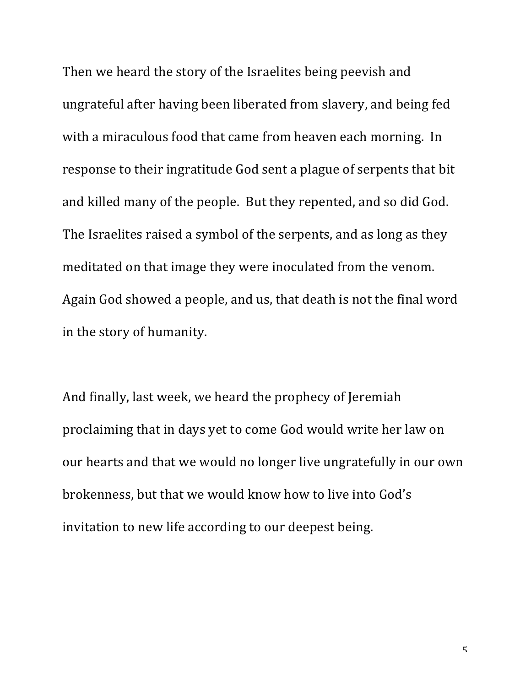Then we heard the story of the Israelites being peevish and ungrateful after having been liberated from slavery, and being fed with a miraculous food that came from heaven each morning. In response to their ingratitude God sent a plague of serpents that bit and killed many of the people. But they repented, and so did God. The Israelites raised a symbol of the serpents, and as long as they meditated on that image they were inoculated from the venom. Again God showed a people, and us, that death is not the final word in the story of humanity.

And finally, last week, we heard the prophecy of Jeremiah proclaiming that in days yet to come God would write her law on our hearts and that we would no longer live ungratefully in our own brokenness, but that we would know how to live into God's invitation to new life according to our deepest being.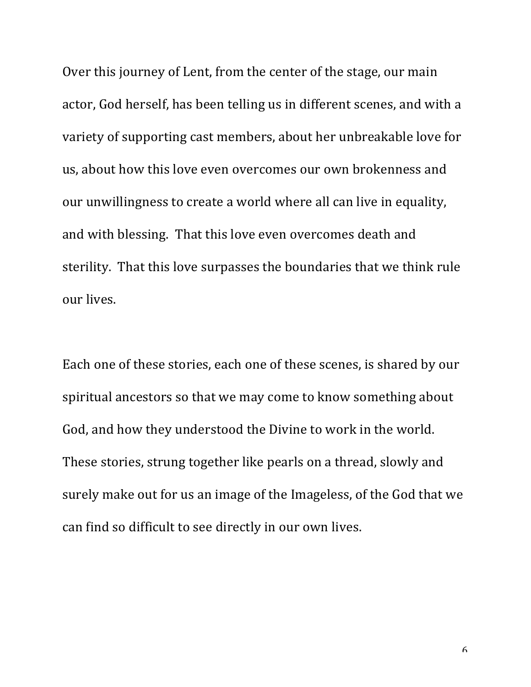Over this journey of Lent, from the center of the stage, our main actor, God herself, has been telling us in different scenes, and with a variety of supporting cast members, about her unbreakable love for us, about how this love even overcomes our own brokenness and our unwillingness to create a world where all can live in equality, and with blessing. That this love even overcomes death and sterility. That this love surpasses the boundaries that we think rule our lives.

Each one of these stories, each one of these scenes, is shared by our spiritual ancestors so that we may come to know something about God, and how they understood the Divine to work in the world. These stories, strung together like pearls on a thread, slowly and surely make out for us an image of the Imageless, of the God that we can find so difficult to see directly in our own lives.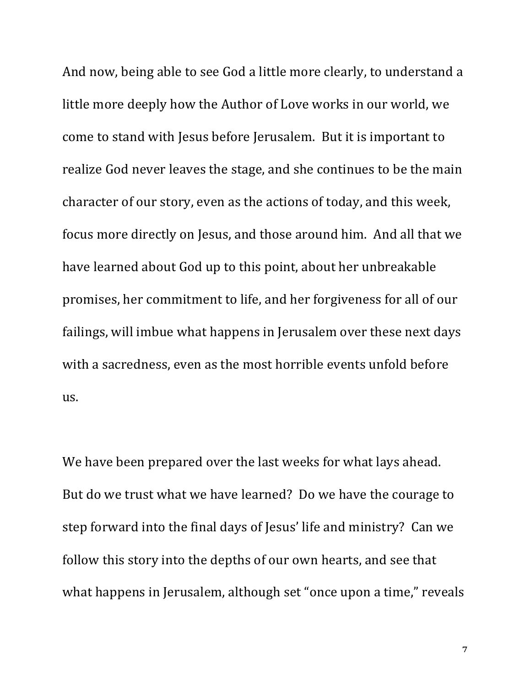And now, being able to see God a little more clearly, to understand a little more deeply how the Author of Love works in our world, we come to stand with Jesus before Jerusalem. But it is important to realize God never leaves the stage, and she continues to be the main character of our story, even as the actions of today, and this week, focus more directly on Jesus, and those around him. And all that we have learned about God up to this point, about her unbreakable promises, her commitment to life, and her forgiveness for all of our failings, will imbue what happens in Jerusalem over these next days with a sacredness, even as the most horrible events unfold before us.

We have been prepared over the last weeks for what lays ahead. But do we trust what we have learned? Do we have the courage to step forward into the final days of Jesus' life and ministry? Can we follow this story into the depths of our own hearts, and see that what happens in Jerusalem, although set "once upon a time," reveals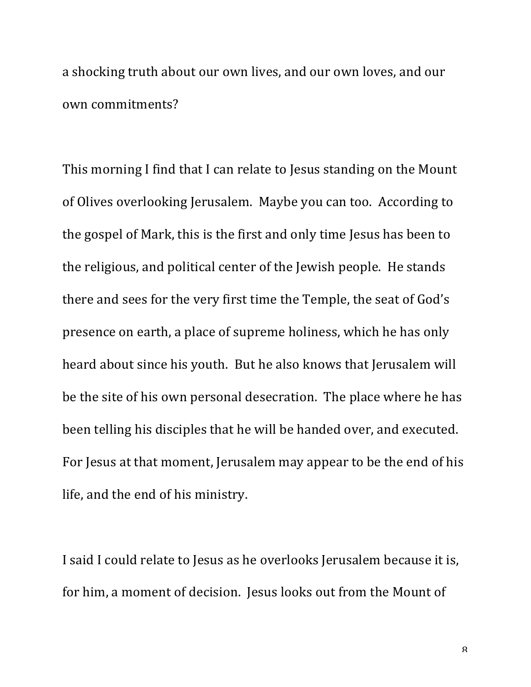a shocking truth about our own lives, and our own loves, and our own commitments?

This morning I find that I can relate to Jesus standing on the Mount of Olives overlooking Jerusalem. Maybe you can too. According to the gospel of Mark, this is the first and only time Jesus has been to the religious, and political center of the Jewish people. He stands there and sees for the very first time the Temple, the seat of God's presence on earth, a place of supreme holiness, which he has only heard about since his youth. But he also knows that Jerusalem will be the site of his own personal desecration. The place where he has been telling his disciples that he will be handed over, and executed. For Jesus at that moment, Jerusalem may appear to be the end of his life, and the end of his ministry.

I said I could relate to Jesus as he overlooks Jerusalem because it is, for him, a moment of decision. Jesus looks out from the Mount of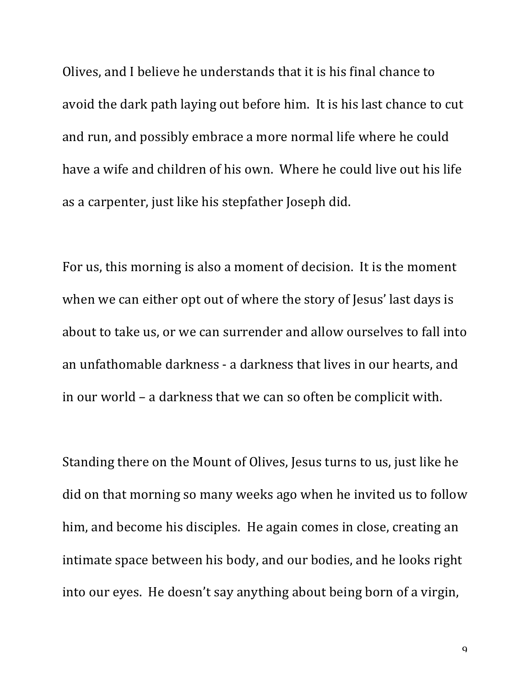Olives, and I believe he understands that it is his final chance to avoid the dark path laying out before him. It is his last chance to cut and run, and possibly embrace a more normal life where he could have a wife and children of his own. Where he could live out his life as a carpenter, just like his stepfather Joseph did.

For us, this morning is also a moment of decision. It is the moment when we can either opt out of where the story of Jesus' last days is about to take us, or we can surrender and allow ourselves to fall into an unfathomable darkness - a darkness that lives in our hearts, and in our world – a darkness that we can so often be complicit with.

Standing there on the Mount of Olives, Jesus turns to us, just like he did on that morning so many weeks ago when he invited us to follow him, and become his disciples. He again comes in close, creating an intimate space between his body, and our bodies, and he looks right into our eyes. He doesn't say anything about being born of a virgin,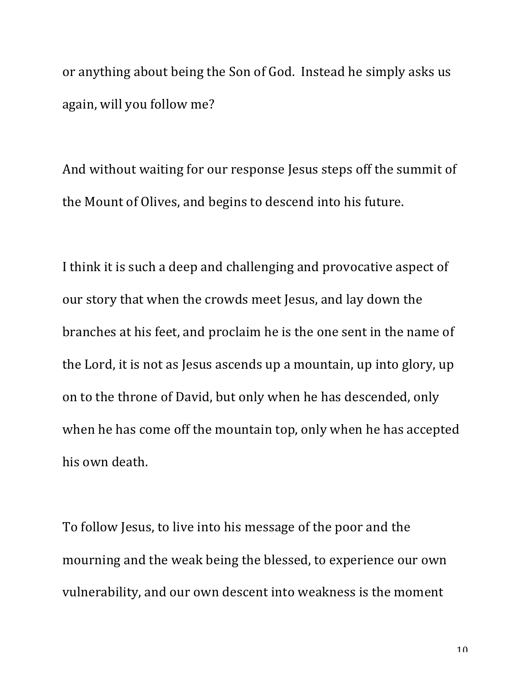or anything about being the Son of God. Instead he simply asks us again, will you follow me?

And without waiting for our response Jesus steps off the summit of the Mount of Olives, and begins to descend into his future.

I think it is such a deep and challenging and provocative aspect of our story that when the crowds meet Jesus, and lay down the branches at his feet, and proclaim he is the one sent in the name of the Lord, it is not as Jesus ascends up a mountain, up into glory, up on to the throne of David, but only when he has descended, only when he has come off the mountain top, only when he has accepted his own death.

To follow Jesus, to live into his message of the poor and the mourning and the weak being the blessed, to experience our own vulnerability, and our own descent into weakness is the moment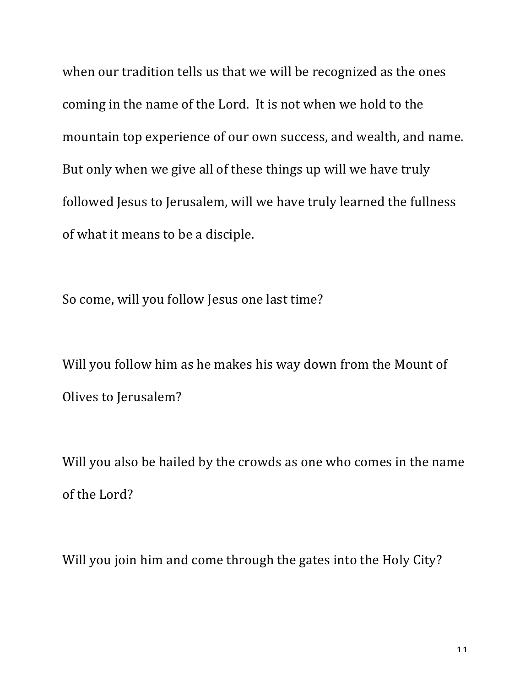when our tradition tells us that we will be recognized as the ones coming in the name of the Lord. It is not when we hold to the mountain top experience of our own success, and wealth, and name. But only when we give all of these things up will we have truly followed Jesus to Jerusalem, will we have truly learned the fullness of what it means to be a disciple.

So come, will you follow Jesus one last time?

Will you follow him as he makes his way down from the Mount of Olives to Jerusalem?

Will you also be hailed by the crowds as one who comes in the name of the Lord?

Will you join him and come through the gates into the Holy City?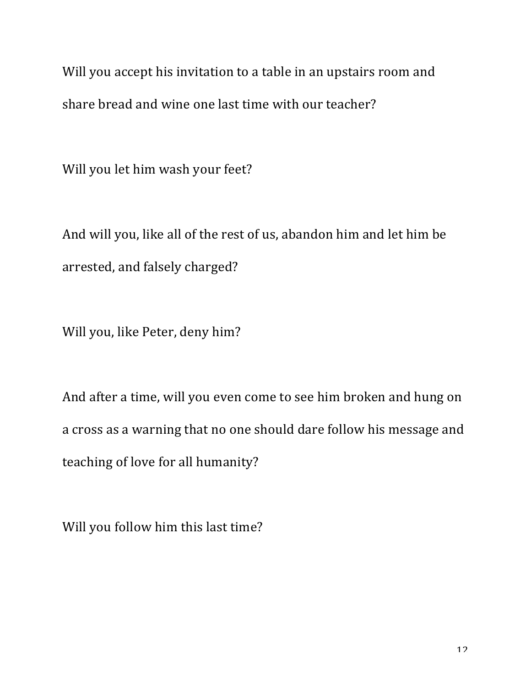Will you accept his invitation to a table in an upstairs room and share bread and wine one last time with our teacher?

Will you let him wash your feet?

And will you, like all of the rest of us, abandon him and let him be arrested, and falsely charged?

Will you, like Peter, deny him?

And after a time, will you even come to see him broken and hung on a cross as a warning that no one should dare follow his message and teaching of love for all humanity?

Will you follow him this last time?